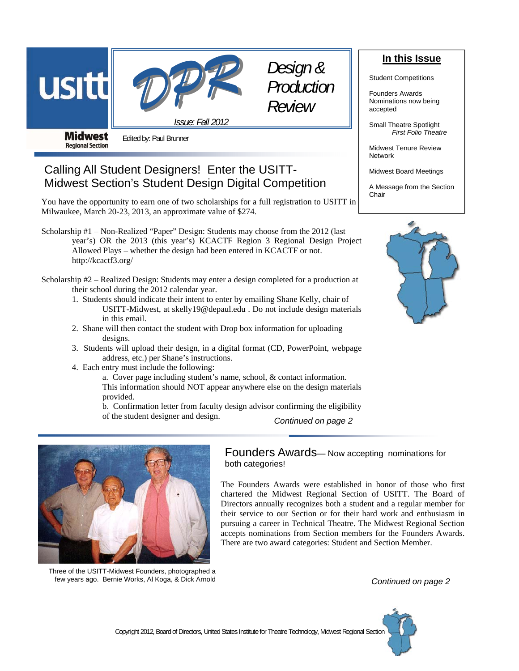



**Midwest Regional Section** 

Edited by: Paul Brunner

# Calling All Student Designers! Enter the USITT-Midwest Section's Student Design Digital Competition

You have the opportunity to earn one of two scholarships for a full registration to USITT in Milwaukee, March 20-23, 2013, an approximate value of \$274.

*Issue: Fall 2012* 

Scholarship #1 – Non-Realized "Paper" Design: Students may choose from the 2012 (last year's) OR the 2013 (this year's) KCACTF Region 3 Regional Design Project Allowed Plays – whether the design had been entered in KCACTF or not. http://kcactf3.org/

Scholarship #2 – Realized Design: Students may enter a design completed for a production at their school during the 2012 calendar year.

- 1. Students should indicate their intent to enter by emailing Shane Kelly, chair of USITT-Midwest, at skelly19@depaul.edu . Do not include design materials in this email.
- 2. Shane will then contact the student with Drop box information for uploading designs.
- 3. Students will upload their design, in a digital format (CD, PowerPoint, webpage address, etc.) per Shane's instructions.
- 4. Each entry must include the following:

 a. Cover page including student's name, school, & contact information. This information should NOT appear anywhere else on the design materials provided.

 b. Confirmation letter from faculty design advisor confirming the eligibility of the student designer and design. *Continued on page 2* 



Three of the USITT-Midwest Founders, photographed a few years ago. Bernie Works, Al Koga, & Dick Arnold

## Founders Awards— Now accepting nominations for both categories!

The Founders Awards were established in honor of those who first chartered the Midwest Regional Section of USITT. The Board of Directors annually recognizes both a student and a regular member for their service to our Section or for their hard work and enthusiasm in pursuing a career in Technical Theatre. The Midwest Regional Section accepts nominations from Section members for the Founders Awards. There are two award categories: Student and Section Member.

*Continued on page 2* 



Student Competitions

Founders Awards Nominations now being accepted

Small Theatre Spotlight *First Folio Theatre*

Midwest Tenure Review Network

Midwest Board Meetings

A Message from the Section Chair

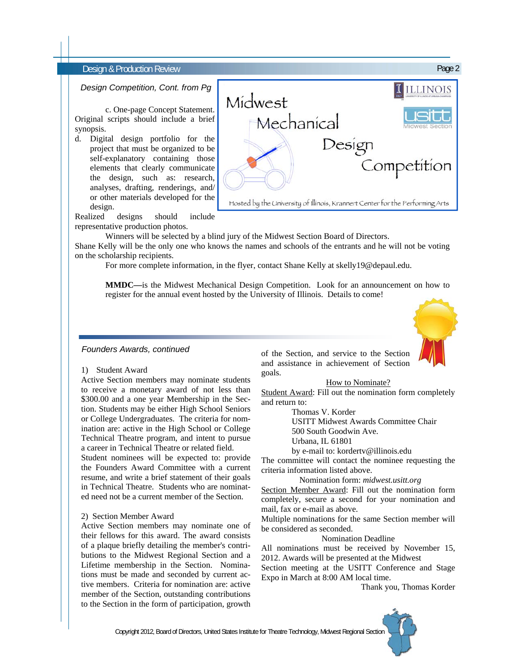### *Design Competition, Cont. from Pg*

 c. One-page Concept Statement. Original scripts should include a brief synopsis.

d. Digital design portfolio for the project that must be organized to be self-explanatory containing those elements that clearly communicate the design, such as: research, analyses, drafting, renderings, and/ or other materials developed for the design.



Realized designs should include representative production photos.

Winners will be selected by a blind jury of the Midwest Section Board of Directors.

Shane Kelly will be the only one who knows the names and schools of the entrants and he will not be voting on the scholarship recipients.

For more complete information, in the flyer, contact Shane Kelly at skelly19@depaul.edu.

 **MMDC—**is the Midwest Mechanical Design Competition. Look for an announcement on how to register for the annual event hosted by the University of Illinois. Details to come!

### *Founders Awards, continued*

#### 1) Student Award

Active Section members may nominate students to receive a monetary award of not less than \$300.00 and a one year Membership in the Section. Students may be either High School Seniors or College Undergraduates. The criteria for nomination are: active in the High School or College Technical Theatre program, and intent to pursue a career in Technical Theatre or related field.

Student nominees will be expected to: provide the Founders Award Committee with a current resume, and write a brief statement of their goals in Technical Theatre. Students who are nominated need not be a current member of the Section.

#### 2) Section Member Award

Active Section members may nominate one of their fellows for this award. The award consists of a plaque briefly detailing the member's contributions to the Midwest Regional Section and a Lifetime membership in the Section. Nominations must be made and seconded by current active members. Criteria for nomination are: active member of the Section, outstanding contributions to the Section in the form of participation, growth of the Section, and service to the Section and assistance in achievement of Section goals.

How to Nominate?

Student Award: Fill out the nomination form completely and return to:

Thomas V. Korder

USITT Midwest Awards Committee Chair

500 South Goodwin Ave.

Urbana, IL 61801

by e-mail to: kordertv@illinois.edu

The committee will contact the nominee requesting the criteria information listed above.

Nomination form: *midwest.usitt.org* 

Section Member Award: Fill out the nomination form completely, secure a second for your nomination and mail, fax or e-mail as above.

Multiple nominations for the same Section member will be considered as seconded.

Nomination Deadline

All nominations must be received by November 15, 2012. Awards will be presented at the Midwest

Section meeting at the USITT Conference and Stage Expo in March at 8:00 AM local time.

Thank you, Thomas Korder

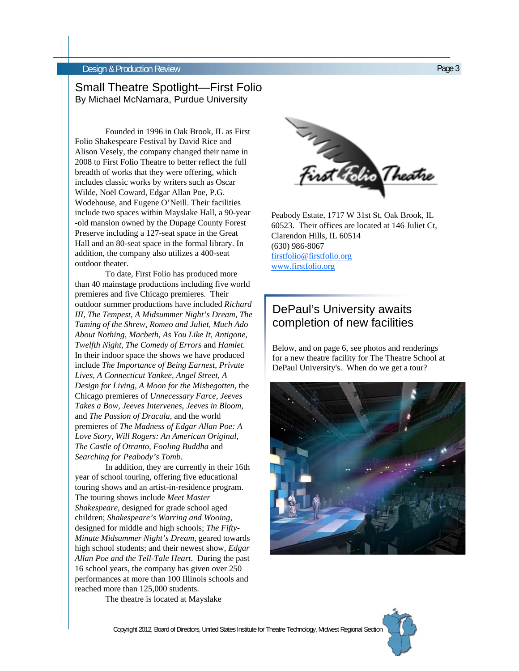## Small Theatre Spotlight—First Folio By Michael McNamara, Purdue University

Founded in 1996 in Oak Brook, IL as First Folio Shakespeare Festival by David Rice and Alison Vesely, the company changed their name in 2008 to First Folio Theatre to better reflect the full breadth of works that they were offering, which includes classic works by writers such as Oscar Wilde, Noël Coward, Edgar Allan Poe, P.G. Wodehouse, and Eugene O'Neill. Their facilities include two spaces within Mayslake Hall, a 90-year -old mansion owned by the Dupage County Forest Preserve including a 127-seat space in the Great Hall and an 80-seat space in the formal library. In addition, the company also utilizes a 400-seat outdoor theater.

To date, First Folio has produced more than 40 mainstage productions including five world premieres and five Chicago premieres. Their outdoor summer productions have included *Richard III, The Tempest, A Midsummer Night's Dream, The Taming of the Shrew*, *Romeo and Juliet, Much Ado About Nothing, Macbeth, As You Like It, Antigone, Twelfth Night, The Comedy of Errors* and *Hamlet*. In their indoor space the shows we have produced include *The Importance of Being Earnest, Private Lives, A Connecticut Yankee, Angel Street, A Design for Living, A Moon for the Misbegotten,* the Chicago premieres of *Unnecessary Farce, Jeeves Takes a Bow, Jeeves Intervenes*, *Jeeves in Bloom,* and *The Passion of Dracula*, and the world premieres of *The Madness of Edgar Allan Poe: A Love Story, Will Rogers: An American Original, The Castle of Otranto, Fooling Buddha* and *Searching for Peabody's Tomb.* 

In addition, they are currently in their 16th year of school touring, offering five educational touring shows and an artist-in-residence program. The touring shows include *Meet Master Shakespeare*, designed for grade school aged children; *Shakespeare's Warring and Wooing,*  designed for middle and high schools; *The Fifty-Minute Midsummer Night's Dream,* geared towards high school students; and their newest show, *Edgar Allan Poe and the Tell-Tale Heart*. During the past 16 school years, the company has given over 250 performances at more than 100 Illinois schools and reached more than 125,000 students.

The theatre is located at Mayslake



60523. Their offices are located at 146 Juliet Ct, Clarendon Hills, IL 60514 (630) 986-8067 firstfolio@firstfolio.org www.firstfolio.org

## DePaul's University awaits completion of new facilities

Below, and on page 6, see photos and renderings for a new theatre facility for The Theatre School at DePaul University's. When do we get a tour?

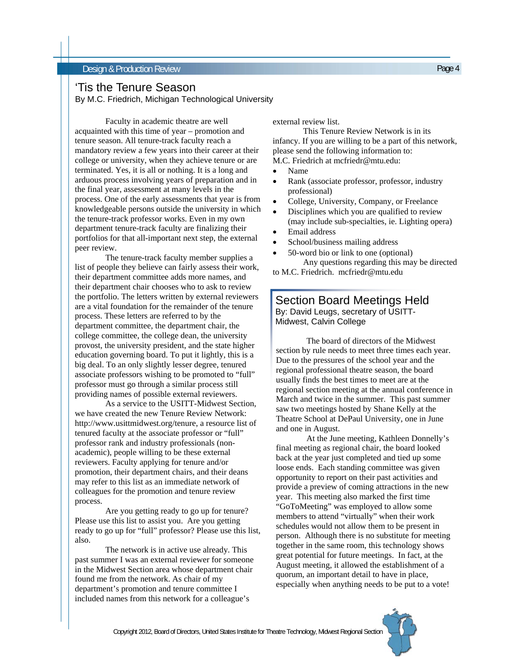### **Design & Production Review Page 4** and the production Review Page 4

## 'Tis the Tenure Season

By M.C. Friedrich, Michigan Technological University

 Faculty in academic theatre are well acquainted with this time of year – promotion and tenure season. All tenure-track faculty reach a mandatory review a few years into their career at their college or university, when they achieve tenure or are terminated. Yes, it is all or nothing. It is a long and arduous process involving years of preparation and in the final year, assessment at many levels in the process. One of the early assessments that year is from knowledgeable persons outside the university in which the tenure-track professor works. Even in my own department tenure-track faculty are finalizing their portfolios for that all-important next step, the external peer review.

 The tenure-track faculty member supplies a list of people they believe can fairly assess their work, their department committee adds more names, and their department chair chooses who to ask to review the portfolio. The letters written by external reviewers are a vital foundation for the remainder of the tenure process. These letters are referred to by the department committee, the department chair, the college committee, the college dean, the university provost, the university president, and the state higher education governing board. To put it lightly, this is a big deal. To an only slightly lesser degree, tenured associate professors wishing to be promoted to "full" professor must go through a similar process still providing names of possible external reviewers.

 As a service to the USITT-Midwest Section, we have created the new Tenure Review Network: http://www.usittmidwest.org/tenure, a resource list of tenured faculty at the associate professor or "full" professor rank and industry professionals (nonacademic), people willing to be these external reviewers. Faculty applying for tenure and/or promotion, their department chairs, and their deans may refer to this list as an immediate network of colleagues for the promotion and tenure review process.

 Are you getting ready to go up for tenure? Please use this list to assist you. Are you getting ready to go up for "full" professor? Please use this list, also.

 The network is in active use already. This past summer I was an external reviewer for someone in the Midwest Section area whose department chair found me from the network. As chair of my department's promotion and tenure committee I included names from this network for a colleague's

external review list.

 This Tenure Review Network is in its infancy. If you are willing to be a part of this network, please send the following information to: M.C. Friedrich at mcfriedr@mtu.edu:

- Name
- Rank (associate professor, professor, industry professional)
- College, University, Company, or Freelance
- Disciplines which you are qualified to review (may include sub-specialties, ie. Lighting opera)
- Email address
- School/business mailing address
- 50-word bio or link to one (optional) Any questions regarding this may be directed to M.C. Friedrich. mcfriedr@mtu.edu

### Section Board Meetings Held By: David Leugs, secretary of USITT-Midwest, Calvin College

 The board of directors of the Midwest section by rule needs to meet three times each year. Due to the pressures of the school year and the regional professional theatre season, the board usually finds the best times to meet are at the regional section meeting at the annual conference in March and twice in the summer. This past summer saw two meetings hosted by Shane Kelly at the Theatre School at DePaul University, one in June and one in August.

 At the June meeting, Kathleen Donnelly's final meeting as regional chair, the board looked back at the year just completed and tied up some loose ends. Each standing committee was given opportunity to report on their past activities and provide a preview of coming attractions in the new year. This meeting also marked the first time "GoToMeeting" was employed to allow some members to attend "virtually" when their work schedules would not allow them to be present in person. Although there is no substitute for meeting together in the same room, this technology shows great potential for future meetings. In fact, at the August meeting, it allowed the establishment of a quorum, an important detail to have in place, especially when anything needs to be put to a vote!

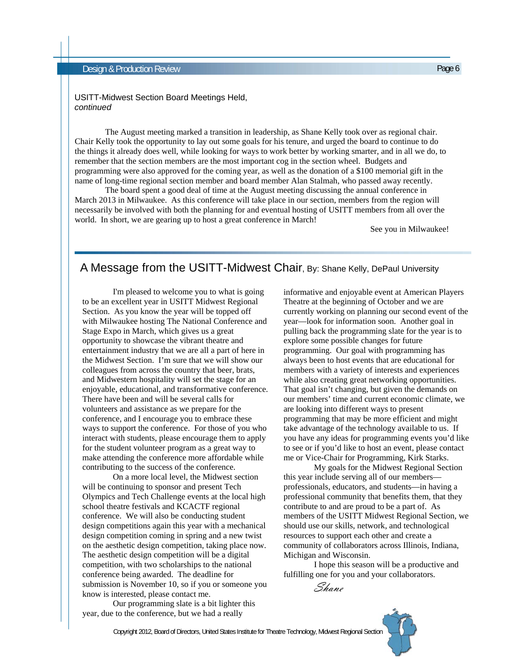### USITT-Midwest Section Board Meetings Held, *continued*

 The August meeting marked a transition in leadership, as Shane Kelly took over as regional chair. Chair Kelly took the opportunity to lay out some goals for his tenure, and urged the board to continue to do the things it already does well, while looking for ways to work better by working smarter, and in all we do, to remember that the section members are the most important cog in the section wheel. Budgets and programming were also approved for the coming year, as well as the donation of a \$100 memorial gift in the name of long-time regional section member and board member Alan Stalmah, who passed away recently.

 The board spent a good deal of time at the August meeting discussing the annual conference in March 2013 in Milwaukee. As this conference will take place in our section, members from the region will necessarily be involved with both the planning for and eventual hosting of USITT members from all over the world. In short, we are gearing up to host a great conference in March!

See you in Milwaukee!

## A Message from the USITT-Midwest Chair, By: Shane Kelly, DePaul University

I'm pleased to welcome you to what is going to be an excellent year in USITT Midwest Regional Section. As you know the year will be topped off with Milwaukee hosting The National Conference and Stage Expo in March, which gives us a great opportunity to showcase the vibrant theatre and entertainment industry that we are all a part of here in the Midwest Section. I'm sure that we will show our colleagues from across the country that beer, brats, and Midwestern hospitality will set the stage for an enjoyable, educational, and transformative conference. There have been and will be several calls for volunteers and assistance as we prepare for the conference, and I encourage you to embrace these ways to support the conference. For those of you who interact with students, please encourage them to apply for the student volunteer program as a great way to make attending the conference more affordable while contributing to the success of the conference.

On a more local level, the Midwest section will be continuing to sponsor and present Tech Olympics and Tech Challenge events at the local high school theatre festivals and KCACTF regional conference. We will also be conducting student design competitions again this year with a mechanical design competition coming in spring and a new twist on the aesthetic design competition, taking place now. The aesthetic design competition will be a digital competition, with two scholarships to the national conference being awarded. The deadline for submission is November 10, so if you or someone you know is interested, please contact me.

 Our programming slate is a bit lighter this year, due to the conference, but we had a really

informative and enjoyable event at American Players Theatre at the beginning of October and we are currently working on planning our second event of the year—look for information soon. Another goal in pulling back the programming slate for the year is to explore some possible changes for future programming. Our goal with programming has always been to host events that are educational for members with a variety of interests and experiences while also creating great networking opportunities. That goal isn't changing, but given the demands on our members' time and current economic climate, we are looking into different ways to present programming that may be more efficient and might take advantage of the technology available to us. If you have any ideas for programming events you'd like to see or if you'd like to host an event, please contact me or Vice-Chair for Programming, Kirk Starks.

 My goals for the Midwest Regional Section this year include serving all of our members professionals, educators, and students—in having a professional community that benefits them, that they contribute to and are proud to be a part of. As members of the USITT Midwest Regional Section, we should use our skills, network, and technological resources to support each other and create a community of collaborators across Illinois, Indiana, Michigan and Wisconsin.

I hope this season will be a productive and fulfilling one for you and your collaborators.

Shane

Copyright 2012, Board of Directors, United States Institute for Theatre Technology, Midwest Regional Section